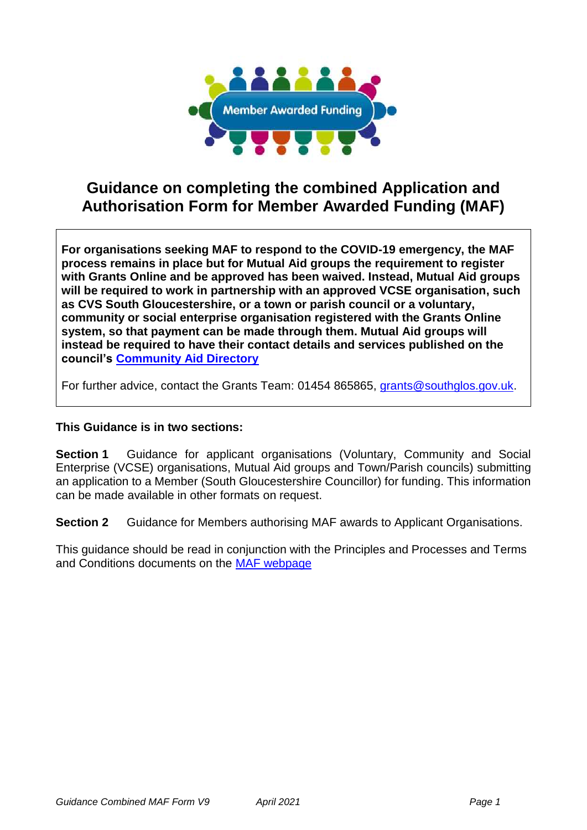

# **Guidance on completing the combined Application and Authorisation Form for Member Awarded Funding (MAF)**

**For organisations seeking MAF to respond to the COVID-19 emergency, the MAF process remains in place but for Mutual Aid groups the requirement to register with Grants Online and be approved has been waived. Instead, Mutual Aid groups will be required to work in partnership with an approved VCSE organisation, such as CVS South Gloucestershire, or a town or parish council or a voluntary, community or social enterprise organisation registered with the Grants Online system, so that payment can be made through them. Mutual Aid groups will instead be required to have their contact details and services published on the council's [Community Aid Directory](https://beta.southglos.gov.uk/get-help-and-support-in-your-area/)**

For further advice, contact the Grants Team: 01454 865865, [grants@southglos.gov.uk.](mailto:grants@southglos.gov.uk)

### **This Guidance is in two sections:**

**Section 1** Guidance for applicant organisations (Voluntary, Community and Social Enterprise (VCSE) organisations, Mutual Aid groups and Town/Parish councils) submitting an application to a Member (South Gloucestershire Councillor) for funding. This information can be made available in other formats on request.

**Section 2** Guidance for Members authorising MAF awards to Applicant Organisations.

This guidance should be read in conjunction with the Principles and Processes and Terms and Conditions documents on the [MAF webpage](http://www.southglos.gov.uk/community-and-living/grants/community-grants/member-awarded-funding/)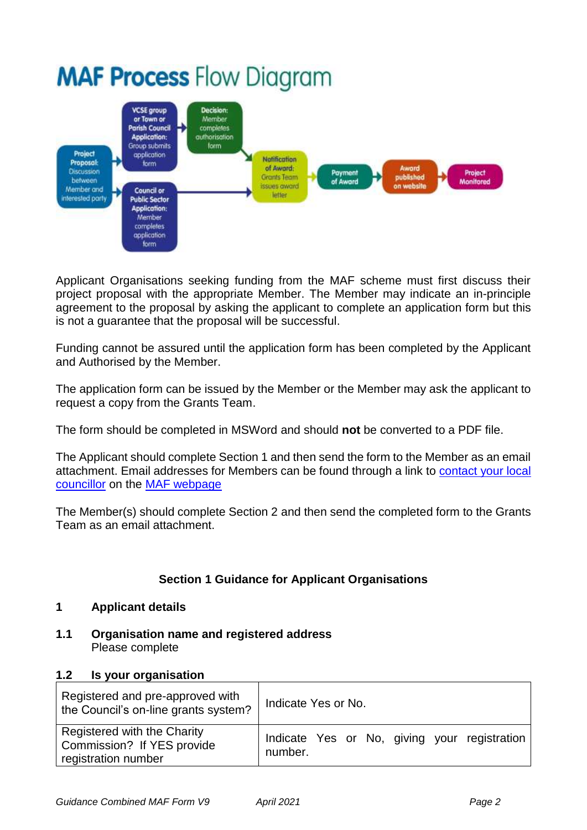# **MAF Process Flow Diagram**



Applicant Organisations seeking funding from the MAF scheme must first discuss their project proposal with the appropriate Member. The Member may indicate an in-principle agreement to the proposal by asking the applicant to complete an application form but this is not a guarantee that the proposal will be successful.

Funding cannot be assured until the application form has been completed by the Applicant and Authorised by the Member.

The application form can be issued by the Member or the Member may ask the applicant to request a copy from the Grants Team.

The form should be completed in MSWord and should **not** be converted to a PDF file.

The Applicant should complete Section 1 and then send the form to the Member as an email attachment. Email addresses for Members can be found through a link to [contact your local](https://council.southglos.gov.uk/mgMemberIndex.aspx)  [councillor](https://council.southglos.gov.uk/mgMemberIndex.aspx) on the [MAF webpage](http://www.southglos.gov.uk/community-and-living/grants/community-grants/member-awarded-funding/)

The Member(s) should complete Section 2 and then send the completed form to the Grants Team as an email attachment.

## **Section 1 Guidance for Applicant Organisations**

#### **1 Applicant details**

**1.1 Organisation name and registered address** Please complete

#### **1.2 Is your organisation**

| Registered and pre-approved with<br>the Council's on-line grants system?         | Indicate Yes or No.                                     |
|----------------------------------------------------------------------------------|---------------------------------------------------------|
| Registered with the Charity<br>Commission? If YES provide<br>registration number | Indicate Yes or No, giving your registration<br>number. |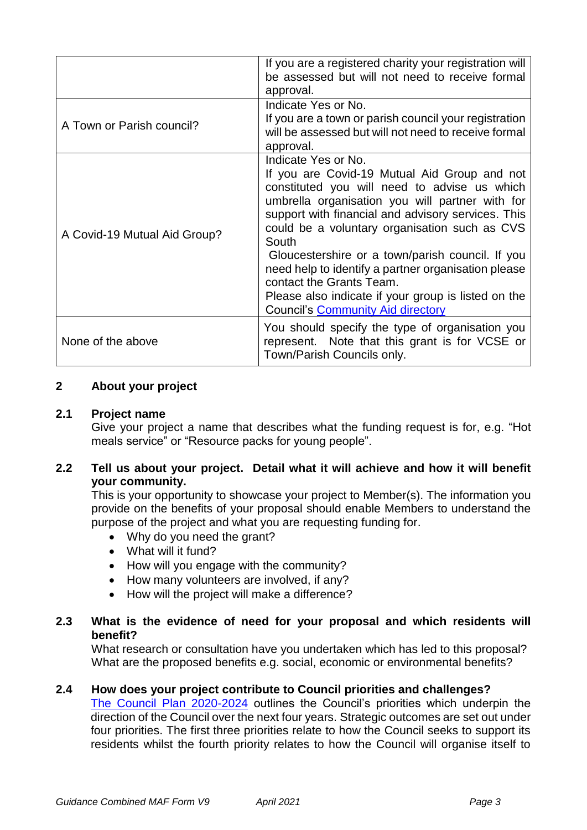|                              | If you are a registered charity your registration will<br>be assessed but will not need to receive formal<br>approval.                                                                                                                                                                                                                                                                                                                                                                                                           |
|------------------------------|----------------------------------------------------------------------------------------------------------------------------------------------------------------------------------------------------------------------------------------------------------------------------------------------------------------------------------------------------------------------------------------------------------------------------------------------------------------------------------------------------------------------------------|
| A Town or Parish council?    | Indicate Yes or No.<br>If you are a town or parish council your registration<br>will be assessed but will not need to receive formal<br>approval.                                                                                                                                                                                                                                                                                                                                                                                |
| A Covid-19 Mutual Aid Group? | Indicate Yes or No.<br>If you are Covid-19 Mutual Aid Group and not<br>constituted you will need to advise us which<br>umbrella organisation you will partner with for<br>support with financial and advisory services. This<br>could be a voluntary organisation such as CVS<br>South<br>Gloucestershire or a town/parish council. If you<br>need help to identify a partner organisation please<br>contact the Grants Team.<br>Please also indicate if your group is listed on the<br><b>Council's Community Aid directory</b> |
| None of the above            | You should specify the type of organisation you<br>represent. Note that this grant is for VCSE or<br>Town/Parish Councils only.                                                                                                                                                                                                                                                                                                                                                                                                  |

#### **2 About your project**

#### **2.1 Project name**

Give your project a name that describes what the funding request is for, e.g. "Hot meals service" or "Resource packs for young people".

#### **2.2 Tell us about your project. Detail what it will achieve and how it will benefit your community.**

This is your opportunity to showcase your project to Member(s). The information you provide on the benefits of your proposal should enable Members to understand the purpose of the project and what you are requesting funding for.

- Why do you need the grant?
- What will it fund?
- How will you engage with the community?
- How many volunteers are involved, if any?
- How will the project will make a difference?

#### **2.3 What is the evidence of need for your proposal and which residents will benefit?**

What research or consultation have you undertaken which has led to this proposal? What are the proposed benefits e.g. social, economic or environmental benefits?

#### **2.4 How does your project contribute to Council priorities and challenges?**

[The Council Plan 2020-2024](https://beta.southglos.gov.uk/publications/council-plan-2020-2024/council-plan-2020-2024/) outlines the Council's priorities which underpin the direction of the Council over the next four years. Strategic outcomes are set out under four priorities. The first three priorities relate to how the Council seeks to support its residents whilst the fourth priority relates to how the Council will organise itself to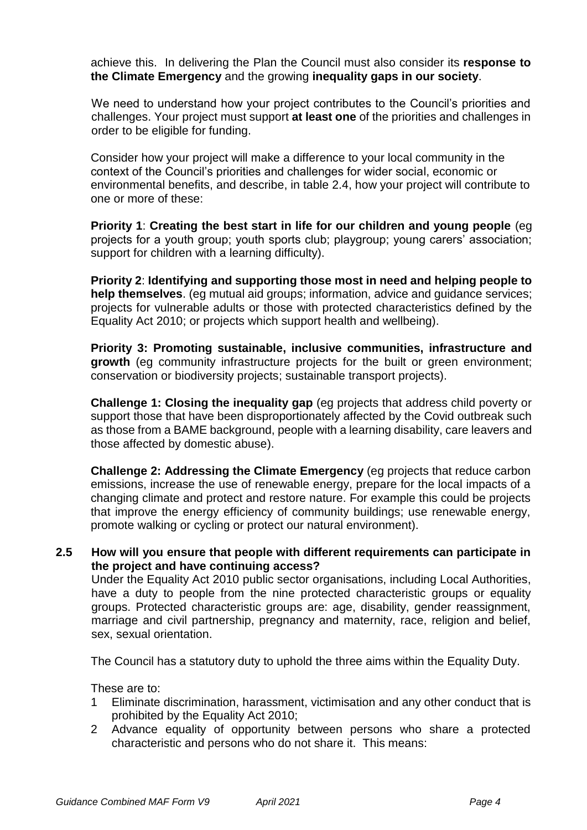achieve this. In delivering the Plan the Council must also consider its **response to the Climate Emergency** and the growing **inequality gaps in our society**.

We need to understand how your project contributes to the Council's priorities and challenges. Your project must support **at least one** of the priorities and challenges in order to be eligible for funding.

Consider how your project will make a difference to your local community in the context of the Council's priorities and challenges for wider social, economic or environmental benefits, and describe, in table 2.4, how your project will contribute to one or more of these:

**Priority 1**: **Creating the best start in life for our children and young people** (eg projects for a youth group; youth sports club; playgroup; young carers' association; support for children with a learning difficulty).

**Priority 2**: **Identifying and supporting those most in need and helping people to help themselves**. (eg mutual aid groups; information, advice and guidance services; projects for vulnerable adults or those with protected characteristics defined by the Equality Act 2010; or projects which support health and wellbeing).

**Priority 3: Promoting sustainable, inclusive communities, infrastructure and growth** (eg community infrastructure projects for the built or green environment: conservation or biodiversity projects; sustainable transport projects).

**Challenge 1: Closing the inequality gap** (eg projects that address child poverty or support those that have been disproportionately affected by the Covid outbreak such as those from a BAME background, people with a learning disability, care leavers and those affected by domestic abuse).

**Challenge 2: Addressing the Climate Emergency** (eg projects that reduce carbon emissions, increase the use of renewable energy, prepare for the local impacts of a changing climate and protect and restore nature. For example this could be projects that improve the energy efficiency of community buildings; use renewable energy, promote walking or cycling or protect our natural environment).

#### **2.5 How will you ensure that people with different requirements can participate in the project and have continuing access?**

Under the Equality Act 2010 public sector organisations, including Local Authorities, have a duty to people from the nine protected characteristic groups or equality groups. Protected characteristic groups are: age, disability, gender reassignment, marriage and civil partnership, pregnancy and maternity, race, religion and belief, sex, sexual orientation.

The Council has a statutory duty to uphold the three aims within the Equality Duty.

These are to:

- 1 Eliminate discrimination, harassment, victimisation and any other conduct that is prohibited by the Equality Act 2010;
- 2 Advance equality of opportunity between persons who share a protected characteristic and persons who do not share it. This means: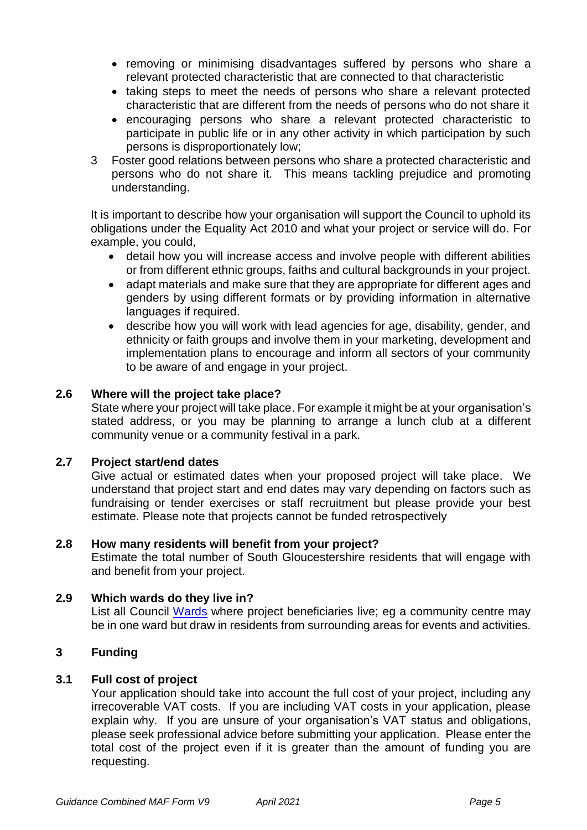- removing or minimising disadvantages suffered by persons who share a relevant protected characteristic that are connected to that characteristic
- taking steps to meet the needs of persons who share a relevant protected characteristic that are different from the needs of persons who do not share it
- encouraging persons who share a relevant protected characteristic to participate in public life or in any other activity in which participation by such persons is disproportionately low;
- 3 Foster good relations between persons who share a protected characteristic and persons who do not share it. This means tackling prejudice and promoting understanding.

It is important to describe how your organisation will support the Council to uphold its obligations under the Equality Act 2010 and what your project or service will do. For example, you could,

- detail how you will increase access and involve people with different abilities or from different ethnic groups, faiths and cultural backgrounds in your project.
- adapt materials and make sure that they are appropriate for different ages and genders by using different formats or by providing information in alternative languages if required.
- describe how you will work with lead agencies for age, disability, gender, and ethnicity or faith groups and involve them in your marketing, development and implementation plans to encourage and inform all sectors of your community to be aware of and engage in your project.

#### **2.6 Where will the project take place?**

State where your project will take place. For example it might be at your organisation's stated address, or you may be planning to arrange a lunch club at a different community venue or a community festival in a park.

#### **2.7 Project start/end dates**

Give actual or estimated dates when your proposed project will take place. We understand that project start and end dates may vary depending on factors such as fundraising or tender exercises or staff recruitment but please provide your best estimate. Please note that projects cannot be funded retrospectively

#### **2.8 How many residents will benefit from your project?**

Estimate the total number of South Gloucestershire residents that will engage with and benefit from your project.

#### **2.9 Which wards do they live in?**

List all Council [Wards](https://www.southglos.gov.uk/documents/Wards-2019.pdf) where project beneficiaries live; eg a community centre may be in one ward but draw in residents from surrounding areas for events and activities.

#### **3 Funding**

#### **3.1 Full cost of project**

Your application should take into account the full cost of your project, including any irrecoverable VAT costs. If you are including VAT costs in your application, please explain why. If you are unsure of your organisation's VAT status and obligations, please seek professional advice before submitting your application. Please enter the total cost of the project even if it is greater than the amount of funding you are requesting.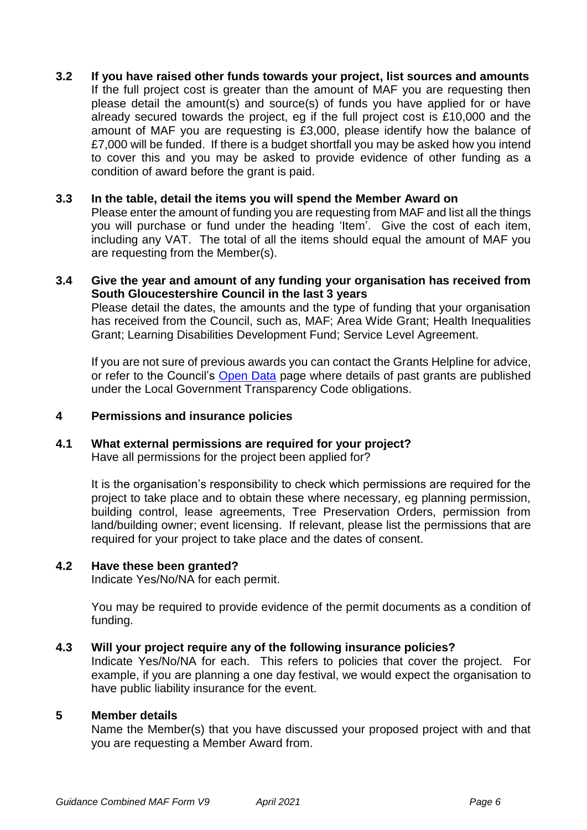# **3.2 If you have raised other funds towards your project, list sources and amounts**

If the full project cost is greater than the amount of MAF you are requesting then please detail the amount(s) and source(s) of funds you have applied for or have already secured towards the project, eg if the full project cost is £10,000 and the amount of MAF you are requesting is £3,000, please identify how the balance of £7,000 will be funded. If there is a budget shortfall you may be asked how you intend to cover this and you may be asked to provide evidence of other funding as a condition of award before the grant is paid.

#### **3.3 In the table, detail the items you will spend the Member Award on**

Please enter the amount of funding you are requesting from MAF and list all the things you will purchase or fund under the heading 'Item'. Give the cost of each item, including any VAT. The total of all the items should equal the amount of MAF you are requesting from the Member(s).

#### **3.4 Give the year and amount of any funding your organisation has received from South Gloucestershire Council in the last 3 years**

Please detail the dates, the amounts and the type of funding that your organisation has received from the Council, such as, MAF; Area Wide Grant; Health Inequalities Grant; Learning Disabilities Development Fund; Service Level Agreement.

If you are not sure of previous awards you can contact the Grants Helpline for advice, or refer to the Council's [Open Data](http://www.southglos.gov.uk/council-and-democracy/news-and-information-releases/open-data/) page where details of past grants are published under the Local Government Transparency Code obligations.

#### **4 Permissions and insurance policies**

#### **4.1 What external permissions are required for your project?**

Have all permissions for the project been applied for?

It is the organisation's responsibility to check which permissions are required for the project to take place and to obtain these where necessary, eg planning permission, building control, lease agreements, Tree Preservation Orders, permission from land/building owner; event licensing. If relevant, please list the permissions that are required for your project to take place and the dates of consent.

#### **4.2 Have these been granted?**

Indicate Yes/No/NA for each permit.

You may be required to provide evidence of the permit documents as a condition of funding.

#### **4.3 Will your project require any of the following insurance policies?**

Indicate Yes/No/NA for each. This refers to policies that cover the project. For example, if you are planning a one day festival, we would expect the organisation to have public liability insurance for the event.

#### **5 Member details**

Name the Member(s) that you have discussed your proposed project with and that you are requesting a Member Award from.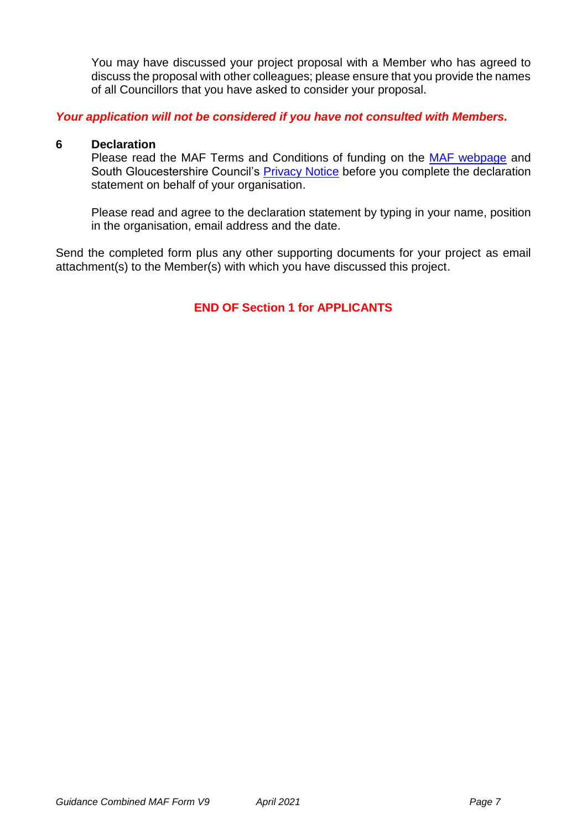You may have discussed your project proposal with a Member who has agreed to discuss the proposal with other colleagues; please ensure that you provide the names of all Councillors that you have asked to consider your proposal.

#### *Your application will not be considered if you have not consulted with Members.*

#### **6 Declaration**

Please read the MAF Terms and Conditions of funding on the [MAF webpage](http://www.southglos.gov.uk/community-and-living/grants/community-grants/member-awarded-funding/) and South Gloucestershire Council's **Privacy Notice** before you complete the declaration statement on behalf of your organisation.

Please read and agree to the declaration statement by typing in your name, position in the organisation, email address and the date.

Send the completed form plus any other supporting documents for your project as email attachment(s) to the Member(s) with which you have discussed this project.

#### **END OF Section 1 for APPLICANTS**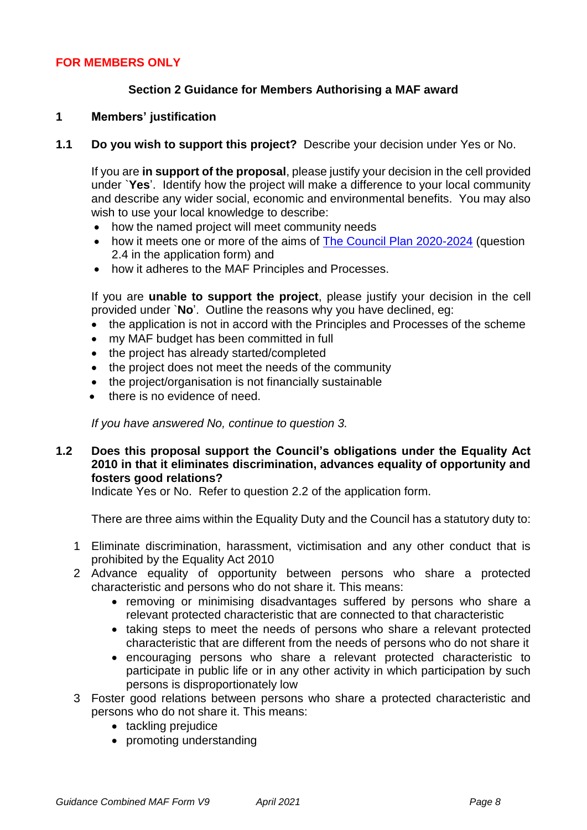#### **FOR MEMBERS ONLY**

#### **Section 2 Guidance for Members Authorising a MAF award**

#### **1 Members' justification**

**1.1 Do you wish to support this project?** Describe your decision under Yes or No.

If you are **in support of the proposal**, please justify your decision in the cell provided under `**Yes**'. Identify how the project will make a difference to your local community and describe any wider social, economic and environmental benefits. You may also wish to use your local knowledge to describe:

- how the named project will meet community needs
- how it meets one or more of the aims of [The Council Plan 2020-2024](https://beta.southglos.gov.uk/publications/council-plan-2020-2024/council-plan-2020-2024/) (question 2.4 in the application form) and
- how it adheres to the MAF Principles and Processes.

If you are **unable to support the project**, please justify your decision in the cell provided under `**No**'. Outline the reasons why you have declined, eg:

- the application is not in accord with the Principles and Processes of the scheme
- my MAF budget has been committed in full
- the project has already started/completed
- the project does not meet the needs of the community
- the project/organisation is not financially sustainable
- there is no evidence of need.

*If you have answered No, continue to question 3.*

#### **1.2 Does this proposal support the Council's obligations under the Equality Act 2010 in that it eliminates discrimination, advances equality of opportunity and fosters good relations?**

Indicate Yes or No. Refer to question 2.2 of the application form.

There are three aims within the Equality Duty and the Council has a statutory duty to:

- 1 Eliminate discrimination, harassment, victimisation and any other conduct that is prohibited by the Equality Act 2010
- 2 Advance equality of opportunity between persons who share a protected characteristic and persons who do not share it. This means:
	- removing or minimising disadvantages suffered by persons who share a relevant protected characteristic that are connected to that characteristic
	- taking steps to meet the needs of persons who share a relevant protected characteristic that are different from the needs of persons who do not share it
	- encouraging persons who share a relevant protected characteristic to participate in public life or in any other activity in which participation by such persons is disproportionately low
- 3 Foster good relations between persons who share a protected characteristic and persons who do not share it. This means:
	- tackling prejudice
	- promoting understanding